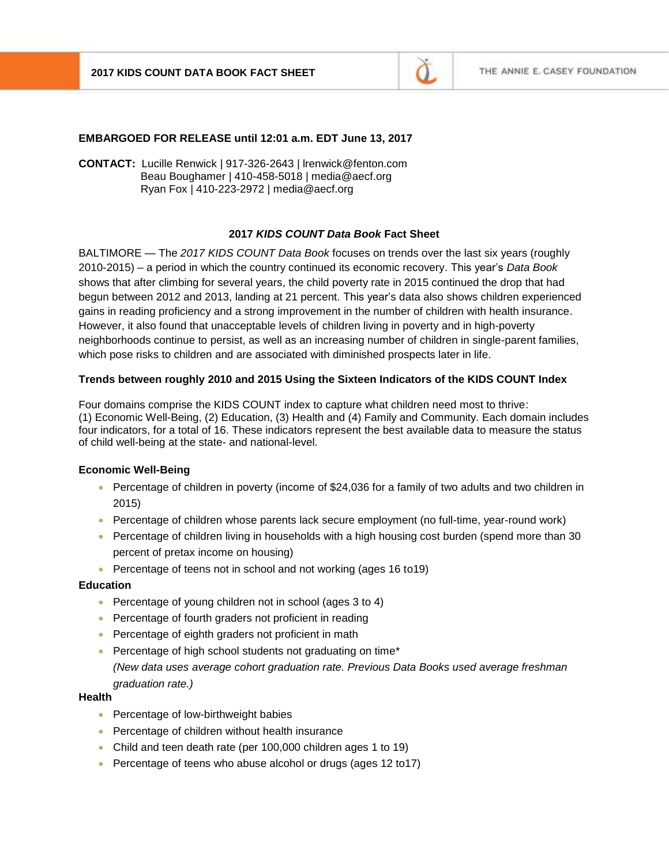

## **EMBARGOED FOR RELEASE until 12:01 a.m. EDT June 13, 2017**

**CONTACT:** Lucille Renwick | 917-326-2643 | lrenwick@fenton.com Beau Boughamer | 410-458-5018 | media@aecf.org Ryan Fox | 410-223-2972 | media@aecf.org

## **2017** *KIDS COUNT Data Book* **Fact Sheet**

BALTIMORE — The *2017 KIDS COUNT Data Book* focuses on trends over the last six years (roughly 2010-2015) – a period in which the country continued its economic recovery. This year's *Data Book* shows that after climbing for several years, the child poverty rate in 2015 continued the drop that had begun between 2012 and 2013, landing at 21 percent. This year's data also shows children experienced gains in reading proficiency and a strong improvement in the number of children with health insurance. However, it also found that unacceptable levels of children living in poverty and in high-poverty neighborhoods continue to persist, as well as an increasing number of children in single-parent families, which pose risks to children and are associated with diminished prospects later in life.

#### **Trends between roughly 2010 and 2015 Using the Sixteen Indicators of the KIDS COUNT Index**

Four domains comprise the KIDS COUNT index to capture what children need most to thrive: (1) Economic Well-Being, (2) Education, (3) Health and (4) Family and Community. Each domain includes four indicators, for a total of 16. These indicators represent the best available data to measure the status of child well-being at the state- and national-level.

#### **Economic Well-Being**

- Percentage of children in poverty (income of \$24,036 for a family of two adults and two children in 2015)
- Percentage of children whose parents lack secure employment (no full-time, year-round work)
- Percentage of children living in households with a high housing cost burden (spend more than 30 percent of pretax income on housing)
- Percentage of teens not in school and not working (ages 16 to 19)

#### **Education**

- Percentage of young children not in school (ages 3 to 4)
- Percentage of fourth graders not proficient in reading
- Percentage of eighth graders not proficient in math
- Percentage of high school students not graduating on time\* *(New data uses average cohort graduation rate. Previous Data Books used average freshman graduation rate.)*

#### **Health**

- Percentage of low-birthweight babies
- Percentage of children without health insurance
- Child and teen death rate (per 100,000 children ages 1 to 19)
- Percentage of teens who abuse alcohol or drugs (ages 12 to 17)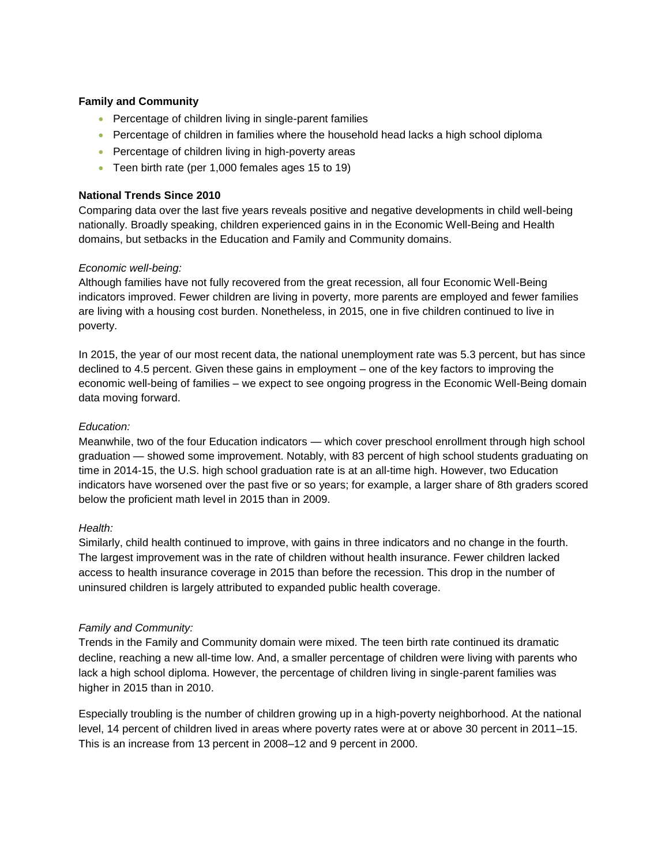## **Family and Community**

- Percentage of children living in single-parent families
- **Percentage of children in families where the household head lacks a high school diploma**
- Percentage of children living in high-poverty areas
- Teen birth rate (per 1,000 females ages 15 to 19)

# **National Trends Since 2010**

Comparing data over the last five years reveals positive and negative developments in child well-being nationally. Broadly speaking, children experienced gains in in the Economic Well-Being and Health domains, but setbacks in the Education and Family and Community domains.

# *Economic well-being:*

Although families have not fully recovered from the great recession, all four Economic Well-Being indicators improved. Fewer children are living in poverty, more parents are employed and fewer families are living with a housing cost burden. Nonetheless, in 2015, one in five children continued to live in poverty.

In 2015, the year of our most recent data, the national unemployment rate was 5.3 percent, but has since declined to 4.5 percent. Given these gains in employment – one of the key factors to improving the economic well-being of families – we expect to see ongoing progress in the Economic Well-Being domain data moving forward.

# *Education:*

Meanwhile, two of the four Education indicators — which cover preschool enrollment through high school graduation — showed some improvement. Notably, with 83 percent of high school students graduating on time in 2014-15, the U.S. high school graduation rate is at an all-time high. However, two Education indicators have worsened over the past five or so years; for example, a larger share of 8th graders scored below the proficient math level in 2015 than in 2009.

## *Health:*

Similarly, child health continued to improve, with gains in three indicators and no change in the fourth. The largest improvement was in the rate of children without health insurance. Fewer children lacked access to health insurance coverage in 2015 than before the recession. This drop in the number of uninsured children is largely attributed to expanded public health coverage.

## *Family and Community:*

Trends in the Family and Community domain were mixed. The teen birth rate continued its dramatic decline, reaching a new all-time low. And, a smaller percentage of children were living with parents who lack a high school diploma. However, the percentage of children living in single-parent families was higher in 2015 than in 2010.

Especially troubling is the number of children growing up in a high-poverty neighborhood. At the national level, 14 percent of children lived in areas where poverty rates were at or above 30 percent in 2011–15. This is an increase from 13 percent in 2008–12 and 9 percent in 2000.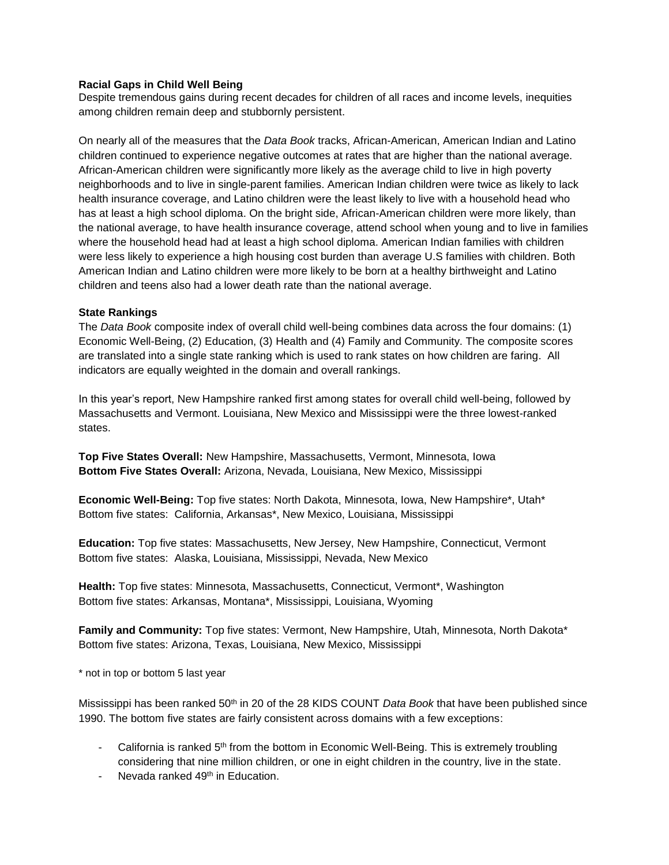## **Racial Gaps in Child Well Being**

Despite tremendous gains during recent decades for children of all races and income levels, inequities among children remain deep and stubbornly persistent.

On nearly all of the measures that the *Data Book* tracks, African-American, American Indian and Latino children continued to experience negative outcomes at rates that are higher than the national average. African-American children were significantly more likely as the average child to live in high poverty neighborhoods and to live in single-parent families. American Indian children were twice as likely to lack health insurance coverage, and Latino children were the least likely to live with a household head who has at least a high school diploma. On the bright side, African-American children were more likely, than the national average, to have health insurance coverage, attend school when young and to live in families where the household head had at least a high school diploma. American Indian families with children were less likely to experience a high housing cost burden than average U.S families with children. Both American Indian and Latino children were more likely to be born at a healthy birthweight and Latino children and teens also had a lower death rate than the national average.

## **State Rankings**

The *Data Book* composite index of overall child well-being combines data across the four domains: (1) Economic Well-Being, (2) Education, (3) Health and (4) Family and Community. The composite scores are translated into a single state ranking which is used to rank states on how children are faring. All indicators are equally weighted in the domain and overall rankings.

In this year's report, New Hampshire ranked first among states for overall child well-being, followed by Massachusetts and Vermont. Louisiana, New Mexico and Mississippi were the three lowest-ranked states.

**Top Five States Overall:** New Hampshire, Massachusetts, Vermont, Minnesota, Iowa **Bottom Five States Overall:** Arizona, Nevada, Louisiana, New Mexico, Mississippi

**Economic Well-Being:** Top five states: North Dakota, Minnesota, Iowa, New Hampshire\*, Utah\* Bottom five states: California, Arkansas\*, New Mexico, Louisiana, Mississippi

**Education:** Top five states: Massachusetts, New Jersey, New Hampshire, Connecticut, Vermont Bottom five states: Alaska, Louisiana, Mississippi, Nevada, New Mexico

**Health:** Top five states: Minnesota, Massachusetts, Connecticut, Vermont\*, Washington Bottom five states: Arkansas, Montana\*, Mississippi, Louisiana, Wyoming

**Family and Community:** Top five states: Vermont, New Hampshire, Utah, Minnesota, North Dakota\* Bottom five states: Arizona, Texas, Louisiana, New Mexico, Mississippi

\* not in top or bottom 5 last year

Mississippi has been ranked 50th in 20 of the 28 KIDS COUNT *Data Book* that have been published since 1990. The bottom five states are fairly consistent across domains with a few exceptions:

- California is ranked 5<sup>th</sup> from the bottom in Economic Well-Being. This is extremely troubling considering that nine million children, or one in eight children in the country, live in the state.
- Nevada ranked 49<sup>th</sup> in Education.